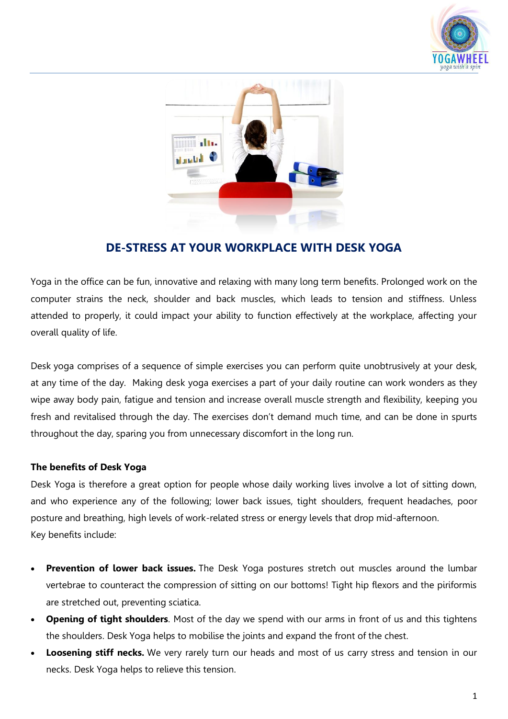



# **DE-STRESS AT YOUR WORKPLACE WITH DESK YOGA**

Yoga in the office can be fun, innovative and relaxing with many long term benefits. Prolonged work on the computer strains the neck, shoulder and back muscles, which leads to tension and stiffness. Unless attended to properly, it could impact your ability to function effectively at the workplace, affecting your overall quality of life.

Desk [yoga](http://www.artofliving.org/in-en/what-yoga) comprises of a sequence of simple exercises you can perform quite unobtrusively at your desk, at any time of the day. Making desk yoga exercises a part of your daily routine can work wonders as they wipe away body pain, fatigue and tension and increase overall muscle strength and flexibility, keeping you fresh and revitalised through the day. The exercises don't demand much time, and can be done in spurts throughout the day, sparing you from unnecessary discomfort in the long run.

### **The benefits of Desk Yoga**

Desk Yoga is therefore a great option for people whose daily working lives involve a lot of sitting down, and who experience any of the following; lower back issues, tight shoulders, frequent headaches, poor posture and breathing, high levels of work-related stress or energy levels that drop mid-afternoon. Key benefits include:

- **Prevention of lower back issues.** The Desk Yoga postures stretch out muscles around the lumbar vertebrae to counteract the compression of sitting on our bottoms! Tight hip flexors and the piriformis are stretched out, preventing sciatica.
- **Opening of tight shoulders**. Most of the day we spend with our arms in front of us and this tightens the shoulders. Desk Yoga helps to mobilise the joints and expand the front of the chest.
- **Loosening stiff necks.** We very rarely turn our heads and most of us carry stress and tension in our necks. Desk Yoga helps to relieve this tension.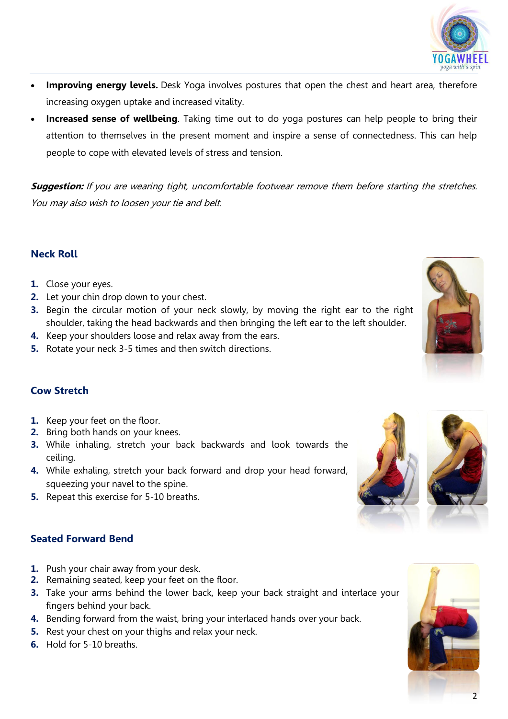

- **Improving energy levels.** Desk Yoga involves postures that open the chest and heart area, therefore increasing oxygen uptake and increased vitality.
- **Increased sense of wellbeing**. Taking time out to do yoga postures can help people to bring their attention to themselves in the present moment and inspire a sense of connectedness. This can help people to cope with elevated levels of stress and tension.

**Suggestion:** If you are wearing tight, uncomfortable footwear remove them before starting the stretches. You may also wish to loosen your tie and belt.

### **Neck Roll**

- **1.** Close your eyes.
- **2.** Let your chin drop down to your chest.
- **3.** Begin the circular motion of your neck slowly, by moving the right ear to the right shoulder, taking the head backwards and then bringing the left ear to the left shoulder.
- **4.** Keep your shoulders loose and relax away from the ears.
- **5.** Rotate your neck 3-5 times and then switch directions.

### **Cow Stretch**

- **1.** Keep your feet on the floor.
- **2.** Bring both hands on your knees.
- **3.** While inhaling, stretch your back backwards and look towards the ceiling.
- **4.** While exhaling, stretch your back forward and drop your head forward, squeezing your navel to the spine.
- **5.** Repeat this exercise for 5-10 breaths.

### **Seated Forward Bend**

- **1.** Push your chair away from your desk.
- **2.** Remaining seated, keep your feet on the floor.
- **3.** Take your arms behind the lower back, keep your back straight and interlace your fingers behind your back.
- **4.** Bending forward from the waist, bring your interlaced hands over your back.
- **5.** Rest your chest on your thighs and relax your neck.
- **6.** Hold for 5-10 breaths.



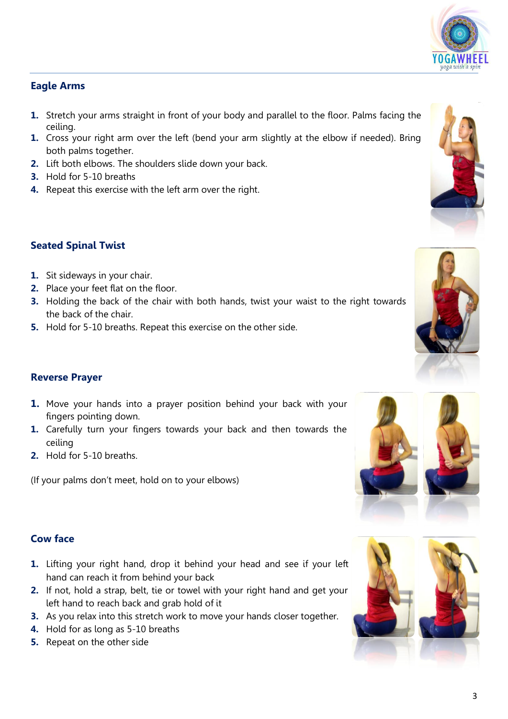### **Eagle Arms**

- **1.** Stretch your arms straight in front of your body and parallel to the floor. Palms facing the ceiling.
- **1.** Cross your right arm over the left (bend your arm slightly at the elbow if needed). Bring both palms together.
- **2.** Lift both elbows. The shoulders slide down your back.
- **3.** Hold for 5-10 breaths
- **4.** Repeat this exercise with the left arm over the right.

#### **Seated Spinal Twist**

- **1.** Sit sideways in your chair.
- **2.** Place your feet flat on the floor.
- **3.** Holding the back of the chair with both hands, twist your waist to the right towards the back of the chair.
- **5.** Hold for 5-10 breaths. Repeat this exercise on the other side.

#### **Reverse Prayer**

- **1.** Move your hands into a prayer position behind your back with your fingers pointing down.
- **1.** Carefully turn your fingers towards your back and then towards the ceiling
- **2.** Hold for 5-10 breaths.
- (If your palms don't meet, hold on to your elbows)

#### **Cow face**

- **1.** Lifting your right hand, drop it behind your head and see if your left hand can reach it from behind your back
- **2.** If not, hold a strap, belt, tie or towel with your right hand and get your left hand to reach back and grab hold of it
- **3.** As you relax into this stretch work to move your hands closer together.
- **4.** Hold for as long as 5-10 breaths
- **5.** Repeat on the other side











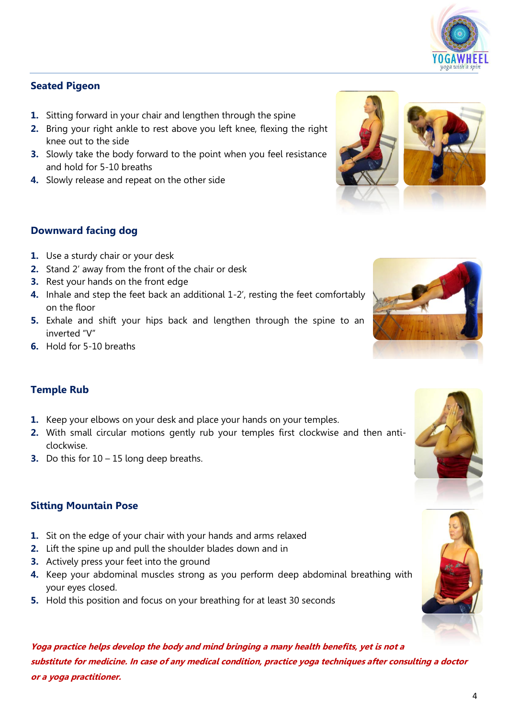# **Seated Pigeon**

- **1.** Sitting forward in your chair and lengthen through the spine
- **2.** Bring your right ankle to rest above you left knee, flexing the right knee out to the side
- **3.** Slowly take the body forward to the point when you feel resistance and hold for 5-10 breaths
- **4.** Slowly release and repeat on the other side

# **Downward facing dog**

- **1.** Use a sturdy chair or your desk
- **2.** Stand 2' away from the front of the chair or desk
- **3.** Rest your hands on the front edge
- **4.** Inhale and step the feet back an additional 1-2', resting the feet comfortably on the floor
- **5.** Exhale and shift your hips back and lengthen through the spine to an inverted "V"
- **6.** Hold for 5-10 breaths

# **Temple Rub**

- **1.** Keep your elbows on your desk and place your hands on your temples.
- **2.** With small circular motions gently rub your temples first clockwise and then anticlockwise.
- **3.** Do this for 10 15 long deep breaths.

# **Sitting Mountain Pose**

- **1.** Sit on the edge of your chair with your hands and arms relaxed
- **2.** Lift the spine up and pull the shoulder blades down and in
- **3.** Actively press your feet into the ground
- **4.** Keep your abdominal muscles strong as you perform deep abdominal breathing with your eyes closed.
- **5.** Hold this position and focus on your breathing for at least 30 seconds

**Yoga practice helps develop the body and mind bringing a many health benefits, yet is not a substitute for medicine. In case of any medical condition, practice yoga techniques after consulting a doctor or a yoga practitioner.**